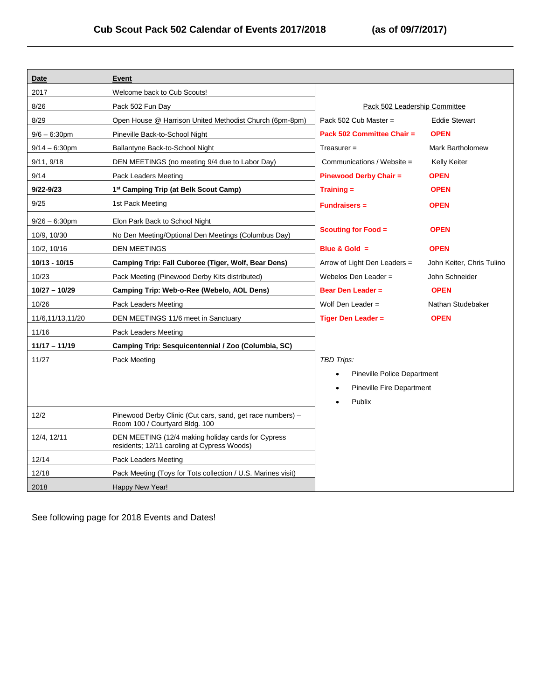| Date             | Event                                                                                             |                                    |                           |
|------------------|---------------------------------------------------------------------------------------------------|------------------------------------|---------------------------|
| 2017             | Welcome back to Cub Scouts!                                                                       |                                    |                           |
| 8/26             | Pack 502 Fun Day                                                                                  | Pack 502 Leadership Committee      |                           |
| 8/29             | Open House @ Harrison United Methodist Church (6pm-8pm)                                           | Pack 502 Cub Master $=$            | <b>Eddie Stewart</b>      |
| $9/6 - 6:30$ pm  | Pineville Back-to-School Night                                                                    | Pack 502 Committee Chair =         | <b>OPEN</b>               |
| $9/14 - 6:30$ pm | Ballantyne Back-to-School Night                                                                   | $T$ reasurer =                     | <b>Mark Bartholomew</b>   |
| 9/11, 9/18       | DEN MEETINGS (no meeting 9/4 due to Labor Day)                                                    | Communications / Website =         | Kelly Keiter              |
| 9/14             | Pack Leaders Meeting                                                                              | <b>Pinewood Derby Chair =</b>      | <b>OPEN</b>               |
| $9/22 - 9/23$    | 1 <sup>st</sup> Camping Trip (at Belk Scout Camp)                                                 | $Training =$                       | <b>OPEN</b>               |
| 9/25             | 1st Pack Meeting                                                                                  | <b>Fundraisers =</b>               | <b>OPEN</b>               |
| $9/26 - 6:30$ pm | Elon Park Back to School Night                                                                    |                                    |                           |
| 10/9, 10/30      | No Den Meeting/Optional Den Meetings (Columbus Day)                                               | <b>Scouting for Food =</b>         | <b>OPEN</b>               |
| 10/2, 10/16      | <b>DEN MEETINGS</b>                                                                               | Blue & Gold $=$                    | <b>OPEN</b>               |
| 10/13 - 10/15    | Camping Trip: Fall Cuboree (Tiger, Wolf, Bear Dens)                                               | Arrow of Light Den Leaders =       | John Keiter, Chris Tulino |
| 10/23            | Pack Meeting (Pinewood Derby Kits distributed)                                                    | Webelos Den Leader =               | John Schneider            |
| 10/27 - 10/29    | Camping Trip: Web-o-Ree (Webelo, AOL Dens)                                                        | <b>Bear Den Leader =</b>           | <b>OPEN</b>               |
| 10/26            | Pack Leaders Meeting                                                                              | Wolf Den Leader $=$                | Nathan Studebaker         |
| 11/6,11/13,11/20 | DEN MEETINGS 11/6 meet in Sanctuary                                                               | <b>Tiger Den Leader =</b>          | <b>OPEN</b>               |
| 11/16            | Pack Leaders Meeting                                                                              |                                    |                           |
| 11/17 - 11/19    | Camping Trip: Sesquicentennial / Zoo (Columbia, SC)                                               |                                    |                           |
| 11/27            | Pack Meeting                                                                                      | TBD Trips:                         |                           |
|                  |                                                                                                   | <b>Pineville Police Department</b> |                           |
|                  |                                                                                                   | Pineville Fire Department          |                           |
|                  |                                                                                                   | Publix                             |                           |
| 12/2             | Pinewood Derby Clinic (Cut cars, sand, get race numbers) -<br>Room 100 / Courtyard Bldg. 100      |                                    |                           |
| 12/4, 12/11      | DEN MEETING (12/4 making holiday cards for Cypress<br>residents; 12/11 caroling at Cypress Woods) |                                    |                           |
| 12/14            | Pack Leaders Meeting                                                                              |                                    |                           |
| 12/18            | Pack Meeting (Toys for Tots collection / U.S. Marines visit)                                      |                                    |                           |
| 2018             | Happy New Year!                                                                                   |                                    |                           |

See following page for 2018 Events and Dates!